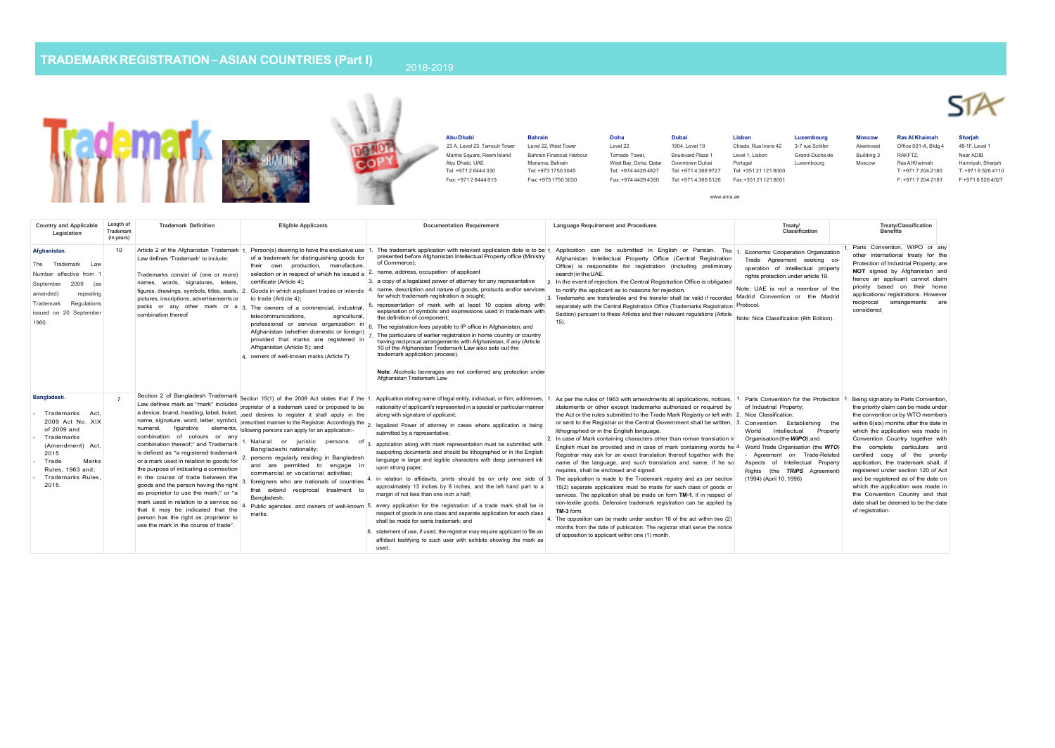## **TRADEMARKREGISTRATION–ASIAN COUNTRIES (Part I)**



www.ama.ae

**Country and Applicable Legislation Length of Trademark (in years) Trademark Definition Eligible Applicants Definition Documentation Requirement Language Requirement** and **Procedures Treaty/ Classification Treaty/Classification Benefits Afghanistan**. The Trademark Law Number effective from 1 September 2009 (as amended) repealing Trademark Regulations issued on 20 September 1960. 10 Article 2 of the Afghanistan Trademark 1. Person(s) desiring to have the exclusive use 1. The trademark application with relevant application date is to be 1. Application can be submitted in English or Persian. The 1. E Law defines 'Trademark' to include: Trademarks consist of (one or more) names, words, signatures, letters, certificate (Article 4); figures, drawings, symbols, titles, seals, 2. Goods in which applicant trades or intends 4. name, description and nature of goods, products and/or services to notify the applicant as to reasons for rejection. pictures, inscriptions, advertisements or to trade (Article 4); packs or any other mark or a 3. The owners of a commercial, industrial, combination thereof of a trademark for distinguishing goods for their own production, manufacture, continuous,<br>selection or in respect of which he issued a <sup>2.</sup> name, address, occupation of applicant telecommunications, agricultural, professional or service organization in 6. The registration fees payable to IP office in Afghanistan; and Afghanistan (whether domestic or foreign) provided that marks are registered in Afhganistan (Article 5); and 4. owners of well-known marks (Article 7). presented before Afghanistan Intellectual Property office (Ministry of Commerce); 3. a copy of a legalized power of attorney for any representative 2. In the event of rejection, the Central Registration Office is obligated for which trademark registration is sought; 5. representation of mark with at least 10 copies along with explanation of symbols and expressions used in trademark with the definition of component; 7. The particulars of earlier registration in home country or country having reciprocal arrangements with Afghanistan, if any (Article 10 of the Afghanistan Trademark Law also sets out the trademark application process). **Note:** Alcoholic beverages are not conferred any protection under Afghanistan Trademark Law Afghanistan Intellectual Property Office (Central Registration Office) is responsible for registration (including preliminary search) in the UAE. 3. Trademarks are transferable and the transfer shall be valid if recorded Madrid Convention or the Madrid separately with the Central Registration Office (Trademarks Registration Protocol. Section) pursuant to these Articles and their relevant regulations (Article 15). Trade Agreement seeking cooperation of intellectual property rights protection under article 19. Note: UAE is not a member of the Note: Nice Classification (9th Edition). 1. Paris Convention, WIPO or any other international treaty for the Protection of Industrial Property; are **NOT** signed by Afghanistan and hence an applicant cannot claim priority based on their home applications/ registrations. However reciprocal arrangements are considered. **Bangladesh***.* - Trademarks Act, 2009 Act No. XIX of 2009 and - Trademarks (Amendment) Act,  $2015$ - Trade Marks Rules, 1963 and; - Trademarks Rules, 2015. Section 2 of Bangladesh Trademark Section 15(1) of the 2009 Act states that if the 1. Application stating name of legal entity, individual, or firm, addresses, 1. As per the rules of 1963 with amendments all applications, Law defines mark as "mark" includes proprietor of a trademark used or proposed to be nationality of applicant/s represented in a special or particular manner statements or other except trademarks authorized or required by a device, brand, heading, label, ticket, used desires to register it shall apply in the a device, brand, neading, label, ucket, used desires to register it shall apply in the along with signature of applicant;<br>name, signature, word, letter, symbol, prescribed manner to the Registrar. Accordingly the a logaliz numeral, figurative elements, following persons can apply for an application:combination of colours or any combination thereof;" and Trademark 1. Natural or juristic persons of submitted by a representative; is defined as "a registered trademark or a mark used in relation to goods for 2. persons regularly residing in Bangladesh the purpose of indicating a connection<br>in the course of trade between the in the course of trade between the commission of vocational admites,<br>goods and the person having the right 3. foreigners who are nationals of countries as proprietor to use the mark;" or "a mark used in relation to a service so that it may be indicated that the person has the right as proprietor to use the mark in the course of trade". Bangladeshi nationality; and are permitted to engage in commercial or vocational activities; that extend reciprocal treatment to<br>Bangladesh: Bangladesh; 4. Public agencies. and owners of well-known 5. every application for the registration of a trade mark shall be in marks. 2. legalized Power of attorney in cases where application is being 3. application along with mark representation must be submitted with supporting documents and should be lithographed or in the English language in large and legible characters with deep permanent ink upon strong paper; 4. in relation to affidavits, prints should be on only one side of 3. The application is made to the Trademark registry and as per section approximately 13 inches by 8 inches, and the left hand part to a 15(2) separate applications must be made for each class of goods or margin of not less than one inch a half: respect of goods in one class and separate application for each class shall be made for same trademark; and 6. statement of use, if used, the registrar may require applicant to file an affidavit testifying to such user with exhibits showing the mark as the Act or the rules submitted to the Trade Mark Registry or left with 2. Nice Classification; or sent to the Registrar or the Central Government shall be written, 3. Convention Establishing the lithographed or in the English language. 2. In case of Mark containing characters other than roman translation in English must be provided and in case of mark containing words he 4. World Trade Organisation (the *WTO*) Registrar may ask for an exact translation thereof together with the name of the language, and such translation and name, if he so requires, shall be enclosed and signed. services. The application shall be made on form **TM-1**, if in respect of non-textile goods. Defensive trademark registration can be applied by **TM-3** form. 4. The opposition can be made under section 18 of the act within two (2) months from the date of publication. The registrar shall serve the notice of opposition to applicant within one (1) month. World Intellectual Property Organisation(the*WIPO)*;and - Agreement on Trade-Related Aspects of Intellectual Property Rights (the *TRIPS* Agreement) (1994) (April 10, 1996) the priority claim can be made under the convention or by WTO members within 6(six) months after the date in which the application was made in Convention Country together with the complete particulars and certified copy of the priority application, the trademark shall, if registered under section 120 of Act and be registered as of the date on which the application was made in the Convention Country and that date shall be deemed to be the date of registration.

used.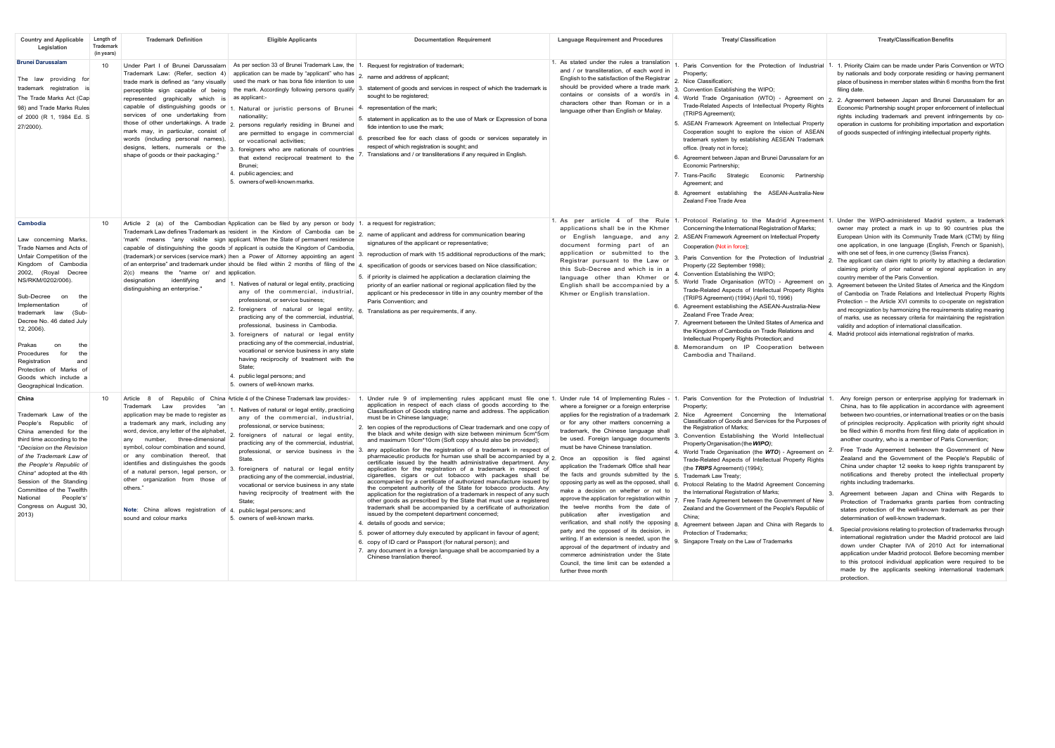| <b>Country and Applicable</b><br>Legislation                                                                                                                                                                                                                                                                                                                                                                                                 | Length of<br>Trademark<br>(in years) | <b>Trademark Definition</b>                                                                                                                                                                                                                                                                                                                                                                                                                                                                                         | <b>Eligible Applicants</b>                                                                                                                                                                                                                                                                                                                                                                                                                                                                                                                                                                                                                                                                                                                                                                                                                                                                                                                                       | <b>Documentation Requirement</b>                                                                                                                                                                                                                                                                                                                                                                                                                                                                                                                                                                                                                                                                                                                                                                                                                                                                                                                                                                                                                                                                                                                                                                                                                                                                                                                                                                                                                                                                                                                                                                                  | <b>Language Requirement and Procedures</b>                                                                                                                                                                                                                                                                                                                                                                                                                                                                                                                                                                                                                                                                                                                                                                                                                      | <b>Treaty/ Classification</b>                                                                                                                                                                                                                                                                                                                                                                                                                                                                                                                                                                                                                                                                                                                                                                                                                                            | <b>Treaty/Classification Benefits</b>                                                                                                                                                                                                                                                                                                                                                                                                                                                                                                                                                                                                                                                                                                                                                                                                                                                                                                                                                                                                                                                                                                                                                                                                                                                                               |
|----------------------------------------------------------------------------------------------------------------------------------------------------------------------------------------------------------------------------------------------------------------------------------------------------------------------------------------------------------------------------------------------------------------------------------------------|--------------------------------------|---------------------------------------------------------------------------------------------------------------------------------------------------------------------------------------------------------------------------------------------------------------------------------------------------------------------------------------------------------------------------------------------------------------------------------------------------------------------------------------------------------------------|------------------------------------------------------------------------------------------------------------------------------------------------------------------------------------------------------------------------------------------------------------------------------------------------------------------------------------------------------------------------------------------------------------------------------------------------------------------------------------------------------------------------------------------------------------------------------------------------------------------------------------------------------------------------------------------------------------------------------------------------------------------------------------------------------------------------------------------------------------------------------------------------------------------------------------------------------------------|-------------------------------------------------------------------------------------------------------------------------------------------------------------------------------------------------------------------------------------------------------------------------------------------------------------------------------------------------------------------------------------------------------------------------------------------------------------------------------------------------------------------------------------------------------------------------------------------------------------------------------------------------------------------------------------------------------------------------------------------------------------------------------------------------------------------------------------------------------------------------------------------------------------------------------------------------------------------------------------------------------------------------------------------------------------------------------------------------------------------------------------------------------------------------------------------------------------------------------------------------------------------------------------------------------------------------------------------------------------------------------------------------------------------------------------------------------------------------------------------------------------------------------------------------------------------------------------------------------------------|-----------------------------------------------------------------------------------------------------------------------------------------------------------------------------------------------------------------------------------------------------------------------------------------------------------------------------------------------------------------------------------------------------------------------------------------------------------------------------------------------------------------------------------------------------------------------------------------------------------------------------------------------------------------------------------------------------------------------------------------------------------------------------------------------------------------------------------------------------------------|--------------------------------------------------------------------------------------------------------------------------------------------------------------------------------------------------------------------------------------------------------------------------------------------------------------------------------------------------------------------------------------------------------------------------------------------------------------------------------------------------------------------------------------------------------------------------------------------------------------------------------------------------------------------------------------------------------------------------------------------------------------------------------------------------------------------------------------------------------------------------|---------------------------------------------------------------------------------------------------------------------------------------------------------------------------------------------------------------------------------------------------------------------------------------------------------------------------------------------------------------------------------------------------------------------------------------------------------------------------------------------------------------------------------------------------------------------------------------------------------------------------------------------------------------------------------------------------------------------------------------------------------------------------------------------------------------------------------------------------------------------------------------------------------------------------------------------------------------------------------------------------------------------------------------------------------------------------------------------------------------------------------------------------------------------------------------------------------------------------------------------------------------------------------------------------------------------|
| <b>Brunei Darussalam</b><br>The law providing for<br>trademark registration is<br>The Trade Marks Act (Cap<br>98) and Trade Marks Rules<br>of 2000 (R 1, 1984 Ed. S<br>27/2000).                                                                                                                                                                                                                                                             | 10                                   | Under Part I of Brunei Darussalam<br>Trademark Law: (Refer, section 4)<br>trade mark is defined as "any visually<br>perceptible sign capable of being<br>represented graphically which is<br>capable of distinguishing goods or<br>services of one undertaking from<br>mark may, in particular, consist of<br>words (including personal names),<br>shape of goods or their packaging."                                                                                                                              | As per section 33 of Brunei Trademark Law, the 1. Request for registration of trademark;<br>application can be made by "applicant" who has<br>used the mark or has bona fide intention to use<br>as applicant-<br>Natural or juristic persons of Brunei<br>nationality:<br>those of other undertakings. A trade 2. persons regularly residing in Brunei and<br>are permitted to engage in commercial<br>or vocational activities:<br>designs, letters, numerals or the $3.$ foreigners who are nationals of countries<br>that extend reciprocal treatment to the<br>Brunei:<br>4. public agencies; and<br>5. owners of well-known marks.                                                                                                                                                                                                                                                                                                                         | 2. name and address of applicant;<br>the mark. Accordingly following persons qualify 3. statement of goods and services in respect of which the trademark is<br>sought to be registered;<br>4. representation of the mark;<br>5. statement in application as to the use of Mark or Expression of bona<br>fide intention to use the mark:<br>6. prescribed fee for each class of goods or services separately in<br>respect of which registration is sought; and<br>Translations and / or transliterations if any required in English.                                                                                                                                                                                                                                                                                                                                                                                                                                                                                                                                                                                                                                                                                                                                                                                                                                                                                                                                                                                                                                                                             | 1. As stated under the rules a translation<br>and / or transliteration, of each word in<br>English to the satisfaction of the Registrar<br>should be provided where a trade mark<br>contains or consists of a word/s in<br>characters other than Roman or in a<br>language other than English or Malay.                                                                                                                                                                                                                                                                                                                                                                                                                                                                                                                                                         | Property:<br>Nice Classification;<br>3. Convention Establishing the WIPO;<br>4. World Trade Organisation (WTO) - Agreement on<br>Trade-Related Aspects of Intellectual Property Rights<br>(TRIPS Agreement):<br>5. ASEAN Framework Agreement on Intellectual Property<br>Cooperation sought to explore the vision of ASEAN<br>trademark system by establishing AESEAN Trademark<br>office. (treaty not in force);<br>6. Agreement between Japan and Brunei Darussalam for an<br>Economic Partnership:<br>7. Trans-Pacific Strategic Economic Partnership<br>Agreement: and<br>8. Agreement establishing the ASEAN-Australia-New<br>Zealand Free Trade Area                                                                                                                                                                                                               | Paris Convention for the Protection of Industrial 1. 1. Priority Claim can be made under Paris Convention or WTO<br>by nationals and body corporate residing or having permanent<br>place of business in member states within 6 months from the first<br>filing date.<br>2. 2. Agreement between Japan and Brunei Darussalam for an<br>Economic Partnership sought proper enforcement of intellectual<br>rights including trademark and prevent infringements by co-<br>operation in customs for prohibiting importation and exportation<br>of goods suspected of infringing intellectual property rights.                                                                                                                                                                                                                                                                                                                                                                                                                                                                                                                                                                                                                                                                                                          |
| Cambodia<br>Law concerning Marks,<br>Trade Names and Acts of<br>Unfair Competition of the<br>Kingdom of Cambodia<br>2002, (Royal Decree<br>NS/RKM/0202/006).<br>Sub-Decree<br>on<br>the<br>Implementation<br>of<br>trademark law<br>(Sub-<br>Decree No. 46 dated July<br>12, 2006).<br>Prakas<br>the<br>on<br>Procedures<br>for<br>the<br>Registration<br>and<br>Protection of Marks of<br>Goods which include a<br>Geographical Indication. | 10                                   | 2(c) means the "name or/ and application<br>designation<br>identifying<br>and<br>distinguishing an enterprise.'                                                                                                                                                                                                                                                                                                                                                                                                     | Article 2 (a) of the Cambodian Application can be filed by any person or body 1. a request for registration;<br>Trademark Law defines Trademark as resident in the Kindom of Cambodia can be<br>'mark' means "any visible sign applicant. When the State of permanent residence<br>capable of distinguishing the goods of applicant is outside the Kingdom of Cambodia,<br>1. Natives of natural or legal entity, practicing<br>any of the commercial, industrial,<br>professional, or service business;<br>2. foreigners of natural or legal entity, $6.$ Translations as per requirements, if any.<br>practicing any of the commercial, industrial,<br>professional, business in Cambodia.<br>3. foreigners of natural or legal entity<br>practicing any of the commercial, industrial.<br>vocational or service business in any state<br>having reciprocity of treatment with the<br>State:<br>4. public legal persons; and<br>5. owners of well-known marks. | 2. name of applicant and address for communication bearing<br>signatures of the applicant or representative;<br>(trademark) or services (service mark) then a Power of Attorney appointing an agent 3. reproduction of mark with 15 additional reproductions of the mark;<br>of an enterprise" and trademark under should be filed within 2 months of filing of the 4. specification of goods or services based on Nice classification;<br>5. If priority is claimed he application a declaration claiming the<br>priority of an earlier national or regional application filed by the<br>applicant or his predecessor in title in any country member of the<br>Paris Convention; and                                                                                                                                                                                                                                                                                                                                                                                                                                                                                                                                                                                                                                                                                                                                                                                                                                                                                                                             | applications shall be in the Khmer<br>or English language, and<br>anv<br>document forming part of<br>an<br>application or submitted to the<br>Registrar pursuant to the Law or<br>this Sub-Decree and which is in a<br>language other than Khmer or<br>English shall be accompanied by a<br>Khmer or English translation.                                                                                                                                                                                                                                                                                                                                                                                                                                                                                                                                       | 1. As per article 4 of the Rule 1. Protocol Relating to the Madrid Agreement 1.<br>Concerning the International Registration of Marks;<br>2. ASEAN Framework Agreement on Intellectual Property<br>Cooperation (Not in force):<br>Paris Convention for the Protection of Industrial<br>Property (22 September 1998);<br>4. Convention Establishing the WIPO;<br>5. World Trade Organisation (WTO) - Agreement on<br>Trade-Related Aspects of Intellectual Property Rights<br>(TRIPS Agreement) (1994) (April 10, 1996)<br>6. Agreement establishing the ASEAN-Australia-New<br>Zealand Free Trade Area;<br>7. Agreement between the United States of America and<br>the Kingdom of Cambodia on Trade Relations and<br>Intellectual Property Rights Protection: and<br>8. Memorandum on IP Cooperation between<br>Cambodia and Thailand.                                  | Under the WIPO-administered Madrid system, a trademark<br>owner may protect a mark in up to 90 countries plus the<br>European Union with its Community Trade Mark (CTM) by filing<br>one application, in one language (English, French or Spanish)<br>with one set of fees, in one currency (Swiss Francs).<br>2. The applicant can claim right to priority by attaching a declaration<br>claiming priority of prior national or regional application in any<br>country member of the Paris Convention.<br>Agreement between the United States of America and the Kingdom<br>of Cambodia on Trade Relations and Intellectual Property Rights<br>Protection - the Article XVI commits to co-operate on registration<br>and recognization by harmonizing the requirements stating meaning<br>of marks, use as necessary criteria for maintaining the registration<br>validity and adoption of international classification<br>4. Madrid protocol aids international registration of marks.                                                                                                                                                                                                                                                                                                                            |
| China<br>Trademark Law of the<br>People's Republic of<br>China amended for the<br>third time according to the<br>"Decision on the Revision<br>of the Trademark Law of<br>the People's Republic of<br>China" adopted at the 4th<br>Session of the Standing<br>Committee of the Twelfth<br>National<br>People's'<br>Congress on August 30,<br>2013)                                                                                            | 10                                   | Article 8<br>Trademark Law provides "an<br>application may be made to register as<br>a trademark any mark, including any<br>word, device, any letter of the alphabet,<br>any number, three-dimensional<br>symbol, colour combination and sound,<br>or any combination thereof, that<br>identifies and distinguishes the goods<br>of a natural person, legal person, or<br>other organization from those of<br>others."<br>Note: China allows registration of 4. public legal persons; and<br>sound and colour marks | of Republic of China Article 4 of the Chinese Trademark law provides:-<br>Natives of natural or legal entity, practicing<br>any of the commercial, industrial,<br>professional, or service business;<br>2. foreigners of natural or legal entity<br>practicing any of the commercial, industrial,<br>State<br>foreigners of natural or legal entity<br>practicing any of the commercial, industrial,<br>vocational or service business in any state<br>having reciprocity of treatment with the<br>State:<br>5. owners of well-known marks.                                                                                                                                                                                                                                                                                                                                                                                                                      | Under rule 9 of implementing rules applicant must file one 1. Under rule 14 of Implementing Rules - 1.<br>$\mathbf{1}$<br>application in respect of each class of goods according to the<br>Classification of Goods stating name and address. The application<br>must be in Chinese language;<br>2. ten copies of the reproductions of Clear trademark and one copy of<br>the black and white design with size between minimum 5cm*5cm<br>and maximum 10cm*10cm (Soft copy should also be provided);<br>professional, or service business in the 3. any application for the registration of a trademark in respect of<br>pharmaceutic products for human use shall be accompanied by a 2. Once an opposition is filed against<br>certificate issued by the health administrative department. Any<br>application for the registration of a trademark in respect of<br>cigarettes, cigars or cut tobacco with packages shall be<br>accompanied by a certificate of authorized manufacture issued by<br>the competent authority of the State for tobacco products. Any<br>application for the registration of a trademark in respect of any such<br>other goods as prescribed by the State that must use a registered<br>trademark shall be accompanied by a certificate of authorization<br>issued by the competent department concerned;<br>4. details of goods and service;<br>5. power of attorney duly executed by applicant in favour of agent;<br>6. copy of ID card or Passport (for natural person); and<br>7. any document in a foreign language shall be accompanied by a<br>Chinese translation thereof. | where a foreigner or a foreign enterprise<br>or for any other matters concerning a<br>trademark, the Chinese language shall<br>be used. Foreign language documents<br>must be have Chinese translation.<br>application the Trademark Office shall hear<br>the facts and grounds submitted by the $5$ . Trademark Law Treaty;<br>opposing party as well as the opposed, shall<br>make a decision on whether or not to<br>approve the application for registration within<br>the twelve months from the date of<br>publication after investigation and<br>verification, and shall notify the opposing 8<br>party and the opposed of its decision, in<br>writing. If an extension is needed, upon the<br>approval of the department of industry and<br>commerce administration under the State<br>Council, the time limit can be extended a<br>further three month | Paris Convention for the Protection of Industrial<br>Property:<br>applies for the registration of a trademark 2. Nice Agreement Concerning the International<br>Classification of Goods and Services for the Purposes of<br>the Registration of Marks;<br>3. Convention Establishing the World Intellectual<br>Property Organisation (the WIPO);<br>4. World Trade Organisation (the WTO) - Agreement on<br>Trade-Related Aspects of Intellectual Property Rights<br>(the TRIPS Agreement) (1994);<br>6. Protocol Relating to the Madrid Agreement Concerning<br>the International Registration of Marks;<br>7. Free Trade Agreement between the Government of New<br>Zealand and the Government of the People's Republic of<br>China:<br>Agreement between Japan and China with Regards to<br>Protection of Trademarks:<br>9. Singapore Treaty on the Law of Trademarks | Any foreign person or enterprise applying for trademark in<br>China, has to file application in accordance with agreement<br>between two countries, or international treaties or on the basis<br>of principles reciprocity. Application with priority right should<br>be filed within 6 months from first filing date of application in<br>another country, who is a member of Paris Convention;<br>Free Trade Agreement between the Government of New<br>2.<br>Zealand and the Government of the People's Republic of<br>China under chapter 12 seeks to keep rights transparent by<br>notifications and thereby protect the intellectual property<br>rights including trademarks.<br>3.<br>Agreement between Japan and China with Regards to<br>Protection of Trademarks grants parties from contracting<br>states protection of the well-known trademark as per their<br>determination of well-known trademark.<br>Special provisions relating to protection of trademarks through<br>international registration under the Madrid protocol are laid<br>down under Chapter IVA of 2010 Act for international<br>application under Madrid protocol. Before becoming member<br>to this protocol individual application were required to be<br>made by the applicants seeking international trademark<br>protection. |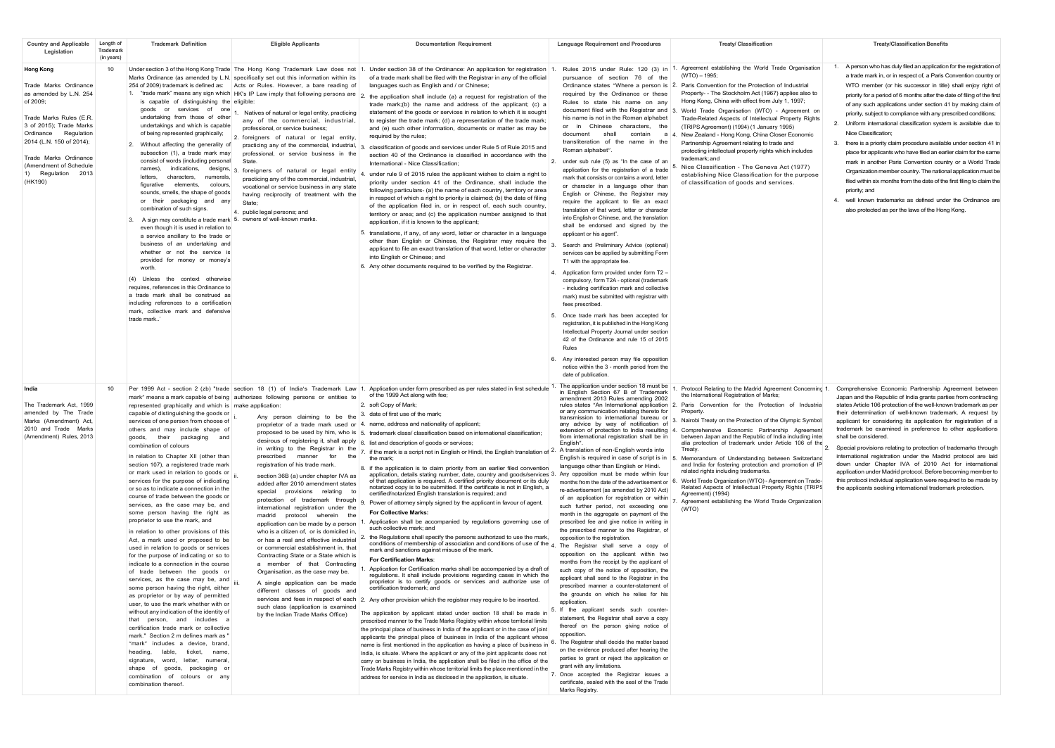| <b>Country and Applicable</b><br>Legislation                                                                                                                                                                                                                                  | Length of<br>Trademark<br>(in years) | <b>Trademark Definition</b>                                                                                                                                                                                                                                                                                                                                                                                                                                                                                                                                                                                                                                                                                                                                                                                                                                                                                                                                                                                                                                                                                                                                                                                                                                                                                                                                                                   | <b>Eligible Applicants</b>                                                                                                                                                                                                                                                                                                                                                                                                                                                                                                                                                                                                                                                                                                                                                                                                                                                                                                                                                                                                                                                                                                                      | <b>Documentation Requirement</b>                                                                                                                                                                                                                                                                                                                                                                                                                                                                                                                                                                                                                                                                                                                                                                                                                                                                                                                                                                                                                                                                                                                                                                                                                                                                                                                                                                                                                                                                                                                                                                                                                                                                                                                                                                                                                                                                                                                                                                                                                                                                                                                                                                                                                                                                                                                                                                                                                                                             | <b>Language Requirement and Procedures</b>                                                                                                                                                                                                                                                                                                                                                                                                                                                                                                                                                                                                                                                                                                                                                                                                                                                                                                                                                                                                                                                                                                                                                                                                                                                                                                                                                                                                                                                                                                                                        | <b>Treaty/Classification</b>                                                                                                                                                                                                                                                                                                                                                                                                                                                                                                                                                                                                                                                                                                                                                                                              | <b>Treaty/Classification Benefits</b>                                                                                                                                                                                                                                                                                                                                                                                                                                                                                                                                                                                                                                                                                                                                                                                                                                                                                                                                                                        |
|-------------------------------------------------------------------------------------------------------------------------------------------------------------------------------------------------------------------------------------------------------------------------------|--------------------------------------|-----------------------------------------------------------------------------------------------------------------------------------------------------------------------------------------------------------------------------------------------------------------------------------------------------------------------------------------------------------------------------------------------------------------------------------------------------------------------------------------------------------------------------------------------------------------------------------------------------------------------------------------------------------------------------------------------------------------------------------------------------------------------------------------------------------------------------------------------------------------------------------------------------------------------------------------------------------------------------------------------------------------------------------------------------------------------------------------------------------------------------------------------------------------------------------------------------------------------------------------------------------------------------------------------------------------------------------------------------------------------------------------------|-------------------------------------------------------------------------------------------------------------------------------------------------------------------------------------------------------------------------------------------------------------------------------------------------------------------------------------------------------------------------------------------------------------------------------------------------------------------------------------------------------------------------------------------------------------------------------------------------------------------------------------------------------------------------------------------------------------------------------------------------------------------------------------------------------------------------------------------------------------------------------------------------------------------------------------------------------------------------------------------------------------------------------------------------------------------------------------------------------------------------------------------------|----------------------------------------------------------------------------------------------------------------------------------------------------------------------------------------------------------------------------------------------------------------------------------------------------------------------------------------------------------------------------------------------------------------------------------------------------------------------------------------------------------------------------------------------------------------------------------------------------------------------------------------------------------------------------------------------------------------------------------------------------------------------------------------------------------------------------------------------------------------------------------------------------------------------------------------------------------------------------------------------------------------------------------------------------------------------------------------------------------------------------------------------------------------------------------------------------------------------------------------------------------------------------------------------------------------------------------------------------------------------------------------------------------------------------------------------------------------------------------------------------------------------------------------------------------------------------------------------------------------------------------------------------------------------------------------------------------------------------------------------------------------------------------------------------------------------------------------------------------------------------------------------------------------------------------------------------------------------------------------------------------------------------------------------------------------------------------------------------------------------------------------------------------------------------------------------------------------------------------------------------------------------------------------------------------------------------------------------------------------------------------------------------------------------------------------------------------------------------------------------|-----------------------------------------------------------------------------------------------------------------------------------------------------------------------------------------------------------------------------------------------------------------------------------------------------------------------------------------------------------------------------------------------------------------------------------------------------------------------------------------------------------------------------------------------------------------------------------------------------------------------------------------------------------------------------------------------------------------------------------------------------------------------------------------------------------------------------------------------------------------------------------------------------------------------------------------------------------------------------------------------------------------------------------------------------------------------------------------------------------------------------------------------------------------------------------------------------------------------------------------------------------------------------------------------------------------------------------------------------------------------------------------------------------------------------------------------------------------------------------------------------------------------------------------------------------------------------------|---------------------------------------------------------------------------------------------------------------------------------------------------------------------------------------------------------------------------------------------------------------------------------------------------------------------------------------------------------------------------------------------------------------------------------------------------------------------------------------------------------------------------------------------------------------------------------------------------------------------------------------------------------------------------------------------------------------------------------------------------------------------------------------------------------------------------|--------------------------------------------------------------------------------------------------------------------------------------------------------------------------------------------------------------------------------------------------------------------------------------------------------------------------------------------------------------------------------------------------------------------------------------------------------------------------------------------------------------------------------------------------------------------------------------------------------------------------------------------------------------------------------------------------------------------------------------------------------------------------------------------------------------------------------------------------------------------------------------------------------------------------------------------------------------------------------------------------------------|
| <b>Hong Kong</b><br>Trade Marks Ordinance<br>as amended by L.N. 254<br>of 2009;<br>Trade Marks Rules (E.R.<br>3 of 2015); Trade Marks<br>Ordinance Regulation<br>2014 (L.N. 150 of 2014);<br>Trade Marks Ordinance<br>(Amendment of Schedule<br>1) Regulation 2013<br>(HK190) | 10 <sup>1</sup>                      | is capable of distinguishing the eligible:<br>goods or services of one<br>undertaking from those of other<br>undertakings and which is capable<br>of being represented graphically;<br>2. Without affecting the generality of<br>subsection (1), a trade mark may<br>consist of words (including personal<br>names), indications, designs, 3<br>characters, numerals<br>letters.<br>figurative<br>elements.<br>colours.<br>sounds, smells, the shape of goods<br>or their packaging and any<br>combination of such signs.<br>3. A sign may constitute a trade mark 5. owners of well-known marks.<br>even though it is used in relation to<br>a service ancillary to the trade or<br>business of an undertaking and<br>whether or not the service is<br>provided for money or money's<br>worth.<br>(4) Unless the context otherwise<br>requires, references in this Ordinance to<br>a trade mark shall be construed as<br>including references to a certification<br>mark, collective mark and defensive<br>trade mark.                                                                                                                                                                                                                                                                                                                                                                       | Under section 3 of the Hong Kong Trade The Hong Kong Trademark Law does not 1.<br>Marks Ordinance (as amended by L.N. specifically set out this information within its<br>254 of 2009) trademark is defined as: Acts or Rules. However, a bare reading of<br>1. "trade mark" means any sign which HK's IP Law imply that following persons are 2<br>Natives of natural or legal entity, practicing<br>any of the commercial, industrial,<br>professional, or service business:<br>2. foreigners of natural or legal entity,<br>practicing any of the commercial, industrial, 3<br>professional, or service business in the<br>foreigners of natural or legal entity<br>practicing any of the commercial, industrial,<br>vocational or service business in any state<br>having reciprocity of treatment with the<br>State<br>4. public legal persons; and                                                                                                                                                                                                                                                                                        | Under section 38 of the Ordinance: An application for registration 1.<br>of a trade mark shall be filed with the Registrar in any of the official<br>languages such as English and / or Chinese;<br>the application shall include (a) a request for registration of the<br>trade mark;(b) the name and address of the applicant; (c) a<br>statement of the goods or services in relation to which it is sought<br>to register the trade mark; (d) a representation of the trade mark;<br>and (e) such other information, documents or matter as may be<br>required by the rules:<br>classification of goods and services under Rule 5 of Rule 2015 and<br>section 40 of the Ordinance is classified in accordance with the<br>International - Nice Classification;<br>under rule 9 of 2015 rules the applicant wishes to claim a right to<br>priority under section 41 of the Ordinance, shall include the<br>following particulars- (a) the name of each country, territory or area<br>in respect of which a right to priority is claimed; (b) the date of filing<br>of the application filed in, or in respect of, each such country,<br>territory or area; and (c) the application number assigned to that<br>application, if it is known to the applicant;<br>5. translations, if any, of any word, letter or character in a language<br>other than English or Chinese, the Registrar may require the<br>applicant to file an exact translation of that word, letter or character<br>into English or Chinese: and<br>6. Any other documents required to be verified by the Registrar.                                                                                                                                                                                                                                                                                                                                                                                                                                                                                                                                                                                                                                                                                                                                                                                                                                                                                                    | Rules 2015 under Rule: 120 (3) in<br>pursuance of section 76 of the<br>Ordinance states "Where a person is 2.<br>required by the Ordinance or these<br>Rules to state his name on any<br>document filed with the Registrar and 3.<br>his name is not in the Roman alphabet<br>or in Chinese characters, the<br>document<br>shall<br>contain<br>transliteration of the name in the<br>Roman alphabet*<br>2. under sub rule (5) as "In the case of an<br>application for the registration of a trade<br>mark that consists or contains a word, letter<br>or character in a language other than<br>English or Chinese, the Registrar may<br>require the applicant to file an exact<br>translation of that word, letter or character<br>into English or Chinese, and, the translation<br>shall be endorsed and signed by the<br>applicant or his agent".<br>Search and Preliminary Advice (optional)<br>services can be applied by submitting Form<br>T1 with the appropriate fee.<br>4. Application form provided under form T2 -<br>compulsory, form T2A - optional (trademark<br>- including certification mark and collective<br>mark) must be submitted with registrar with<br>fees prescribed.<br>5. Once trade mark has been accepted for<br>registration, it is published in the Hong Kong<br>Intellectual Property Journal under section<br>42 of the Ordinance and rule 15 of 2015<br>6. Any interested person may file opposition<br>notice within the 3 - month period from the<br>date of publication.                                                                   | Agreement establishing the World Trade Organisation<br>(WTO) - 1995:<br>Paris Convention for the Protection of Industrial<br>Property- - The Stockholm Act (1967) applies also to<br>Hong Kong, China with effect from July 1, 1997;<br>World Trade Organisation (WTO) - Agreement on<br>Trade-Related Aspects of Intellectual Property Rights<br>(TRIPS Agreement) (1994) (1 January 1995)<br>a 4. New Zealand - Hong Kong, China Closer Economic<br>Partnership Agreement relating to trade and<br>protecting intellectual property rights which includes<br>trademark: and<br>Nice Classification - The Geneva Act (1977)<br>establishing Nice Classification for the purpose<br>of classification of goods and services.                                                                                              | 1. A person who has duly filed an application for the registration of<br>a trade mark in, or in respect of, a Paris Convention country or<br>WTO member (or his successor in title) shall enjoy right of<br>priority for a period of 6 months after the date of filing of the firs<br>of any such applications under section 41 by making claim of<br>priority, subject to compliance with any prescribed conditions;<br>2. Uniform international classification system is available due to<br>Nice Classification;<br>3. there is a priority claim procedure available under section 41 in<br>place for applicants who have filed an earlier claim for the same<br>mark in another Paris Convention country or a World Trade<br>Organization member country. The national application must be<br>filed within six months from the date of the first filing to claim the<br>priority: and<br>4. well known trademarks as defined under the Ordinance are<br>also protected as per the laws of the Hong Kong. |
| India<br>The Trademark Act. 1999<br>amended by The Trade<br>Marks (Amendment) Act,<br>2010 and Trade Marks<br>(Amendment) Rules, 2013                                                                                                                                         | 10                                   | represented graphically and which is make application:<br>capable of distinguishing the goods or<br>services of one person from choose of<br>others and may include shape of<br>goods, their packaging and<br>combination of colours<br>in relation to Chapter XII (other than<br>section 107), a registered trade mark<br>or mark used in relation to goods or<br>services for the purpose of indicating<br>or so as to indicate a connection in the<br>course of trade between the goods or<br>services, as the case may be, and<br>some person having the right as<br>proprietor to use the mark, and<br>in relation to other provisions of this<br>Act, a mark used or proposed to be<br>used in relation to goods or services<br>for the purpose of indicating or so to<br>indicate to a connection in the course<br>of trade between the goods or<br>services, as the case may be, and iii<br>some person having the right, either<br>as proprietor or by way of permitted<br>user, to use the mark whether with or<br>without any indication of the identity of<br>that person, and includes a<br>certification trade mark or collective<br>mark." Section 2 m defines mark as '<br>"mark" includes a device, brand.<br>heading,<br>lable, ticket, name,<br>signature, word, letter, numeral,<br>shape of goods, packaging or<br>combination of colours or any<br>combination thereof. | Per 1999 Act - section 2 (zb) "trade section 18 (1) of India's Trademark Law 1.<br>mark" means a mark capable of being authorizes following persons or entities to<br>Any person claiming to be the<br>proprietor of a trade mark used or<br>proposed to be used by him, who is 5.<br>desirous of registering it, shall apply<br>in writing to the Registrar in the<br>prescribed manner for<br>the<br>registration of his trade mark.<br>section 36B (a) under chapter IVA as<br>added after 2010 amendment states<br>provisions relating to<br>special<br>protection of trademark through<br>international registration under the<br>madrid protocol wherein the<br>application can be made by a person<br>who is a citizen of, or is domiciled in,<br>or has a real and effective industrial<br>or commercial establishment in, that<br>Contracting State or a State which is<br>a member of that Contracting<br>Organisation, as the case may be.<br>A single application can be made<br>different classes of goods and<br>services and fees in respect of each<br>such class (application is examined<br>by the Indian Trade Marks Office) | Application under form prescribed as per rules stated in first schedule<br>of the 1999 Act along with fee;<br>2. soft Copy of Mark;<br>date of first use of the mark;<br>name, address and nationality of applicant;<br>4.<br>trademark class/ classification based on international classification;<br>list and description of goods or services;<br>if the mark is a script not in English or Hindi, the English translation of 2. A translation of non-English words into<br>the mark:<br>if the application is to claim priority from an earlier filed convention<br>8.<br>application, details stating number, date, country and goods/services 3. Any opposition must be made within four<br>of that application is required. A certified priority document or its duly<br>notarized copy is to be submitted. If the certificate is not in English, a<br>certified/notarized English translation is required; and<br>Power of attorney simply signed by the applicant in favour of agent.<br><b>For Collective Marks:</b><br>Application shall be accompanied by regulations governing use of<br>such collective mark: and<br>the Regulations shall specify the persons authorized to use the mark,<br>conditions of membership of association and conditions of use of the 4. The Registrar shall serve a copy of<br>mark and sanctions against misuse of the mark<br><b>For Certification Marks</b><br>Application for Certification marks shall be accompanied by a draft of<br>regulations. It shall include provisions regarding cases in which the<br>proprietor is to certify goods or services and authorize use of<br>certification trademark: and<br>2. Any other provision which the registrar may require to be inserted.<br>The application by applicant stated under section 18 shall be made in<br>prescribed manner to the Trade Marks Registry within whose territorial limits<br>the principal place of business in India of the applicant or in the case of joint<br>applicants the principal place of business in India of the applicant whose<br>name is first mentioned in the application as having a place of business in<br>India, is situate. Where the applicant or any of the joint applicants does not<br>carry on business in India, the application shall be filed in the office of the<br>Trade Marks Registry within whose territorial limits the place mentioned in the<br>address for service in India as disclosed in the application, is situate. | The application under section 18 must be<br>in English Section 67 B of Trademark<br>amendment 2013 Rules amending 2002<br>or any communication relating thereto for<br>transmission to international bureau or<br>any advice by way of notification of<br>extension of protection to India resulting 4.<br>from international registration shall be in<br>English".<br>English is required in case of script is in<br>language other than English or Hindi.<br>months from the date of the advertisement or $6.$<br>re-advertisement (as amended by 2010 Act)<br>of an application for registration or within<br>such further period, not exceeding one<br>month in the aggregate on payment of the<br>prescribed fee and give notice in writing in<br>the prescribed manner to the Registrar, of<br>opposition to the registration.<br>opposition on the applicant within two<br>months from the receipt by the applicant of<br>such copy of the notice of opposition, the<br>applicant shall send to the Registrar in the<br>prescribed manner a counter-statement of<br>the grounds on which he relies for his<br>application.<br>5. If the applicant sends such counter-<br>statement, the Registrar shall serve a copy<br>thereof on the person giving notice of<br>opposition.<br>6. The Registrar shall decide the matter based<br>on the evidence produced after hearing the<br>parties to grant or reject the application or<br>grant with any limitations.<br>Once accepted the Registrar issues a<br>certificate, sealed with the seal of the Trade<br>Marks Registry. | Protocol Relating to the Madrid Agreement Concerning 1.<br>the International Registration of Marks:<br>rules states "An International application 2. Paris Convention for the Protection of Industrial<br>Property.<br>Nairobi Treaty on the Protection of the Olympic Symbol;<br>Comprehensive Economic Partnership Agreement<br>between Japan and the Republic of India including inter<br>alia protection of trademark under Article 106 of the<br>Treatv.<br>Memorandum of Understanding between Switzerland<br>and India for fostering protection and promotion of IP<br>related rights including trademarks.<br>World Trade Organization (WTO) - Agreement on Trade-<br>Related Aspects of Intellectual Property Rights (TRIPS<br>Agreement) (1994)<br>Agreement establishing the World Trade Organization<br>(WTO) | Comprehensive Economic Partnership Agreement between<br>Japan and the Republic of India grants parties from contracting<br>states Article 106 protection of the well-known trademark as per<br>their determination of well-known trademark. A request by<br>applicant for considering its application for registration of a<br>trademark be examined in preference to other applications<br>shall be considered.<br>Special provisions relating to protection of trademarks through<br>international registration under the Madrid protocol are laid<br>down under Chapter IVA of 2010 Act for international<br>application under Madrid protocol. Before becoming member to<br>this protocol individual application were required to be made by<br>the applicants seeking international trademark protection.                                                                                                                                                                                               |